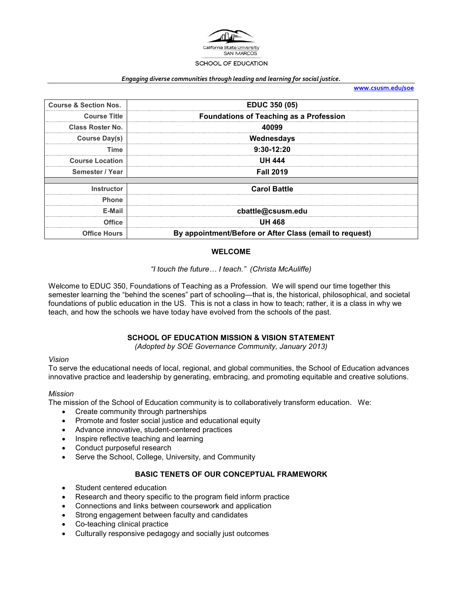

#### *Engaging diverse communities through leading and learning for social justice.*

**[www.csusm.edu/soe](http://www.csusm.edu/soe)**

| <b>Course &amp; Section Nos.</b> | <b>EDUC 350 (05)</b>                                    |  |
|----------------------------------|---------------------------------------------------------|--|
| <b>Course Title</b>              | <b>Foundations of Teaching as a Profession</b>          |  |
| <b>Class Roster No.</b>          | 40099                                                   |  |
| Course Day(s)                    | Wednesdays                                              |  |
| Time                             | $9:30-12:20$                                            |  |
| <b>Course Location</b>           | <b>UH 444</b>                                           |  |
| Semester / Year                  | <b>Fall 2019</b>                                        |  |
|                                  |                                                         |  |
| Instructor                       | <b>Carol Battle</b>                                     |  |
| <b>Phone</b>                     |                                                         |  |
| E-Mail                           | cbattle@csusm.edu                                       |  |
| <b>Office</b>                    | <b>UH 468</b>                                           |  |
| <b>Office Hours</b>              | By appointment/Before or After Class (email to request) |  |

#### **WELCOME**

## *"I touch the future… I teach." (Christa McAuliffe)*

Welcome to EDUC 350, Foundations of Teaching as a Profession. We will spend our time together this semester learning the "behind the scenes" part of schooling—that is, the historical, philosophical, and societal foundations of public education in the US. This is not a class in how to teach; rather, it is a class in why we teach, and how the schools we have today have evolved from the schools of the past.

### **SCHOOL OF EDUCATION MISSION & VISION STATEMENT**

*(Adopted by SOE Governance Community, January 2013)*

#### *Vision*

To serve the educational needs of local, regional, and global communities, the School of Education advances innovative practice and leadership by generating, embracing, and promoting equitable and creative solutions.

#### *Mission*

The mission of the School of Education community is to collaboratively transform education. We:

- Create community through partnerships
- Promote and foster social justice and educational equity
- Advance innovative, student-centered practices
- Inspire reflective teaching and learning
- Conduct purposeful research
- Serve the School, College, University, and Community

#### **BASIC TENETS OF OUR CONCEPTUAL FRAMEWORK**

- Student centered education
- Research and theory specific to the program field inform practice
- Connections and links between coursework and application
- Strong engagement between faculty and candidates
- Co-teaching clinical practice
- Culturally responsive pedagogy and socially just outcomes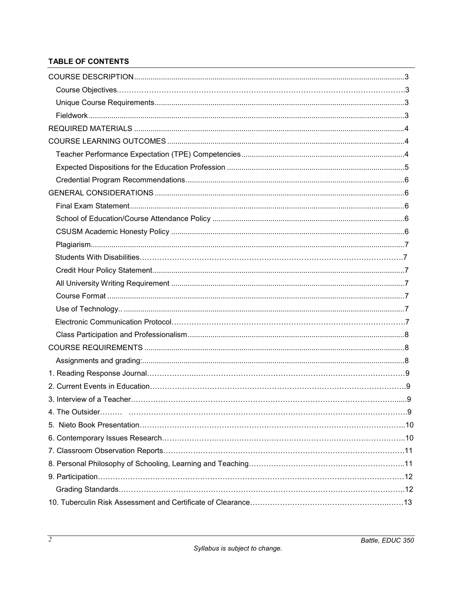## **TABLE OF CONTENTS**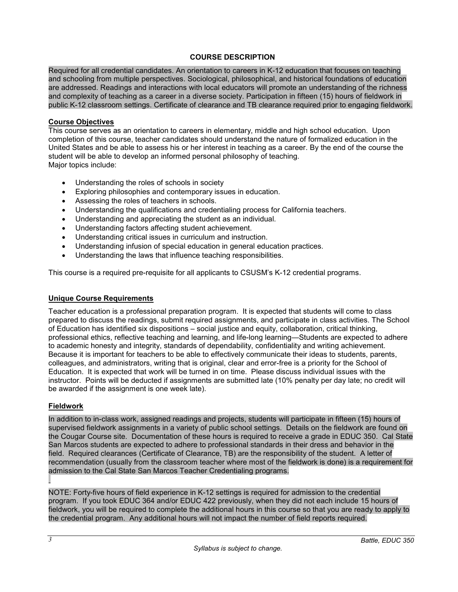### **COURSE DESCRIPTION**

Required for all credential candidates. An orientation to careers in K-12 education that focuses on teaching and schooling from multiple perspectives. Sociological, philosophical, and historical foundations of education are addressed. Readings and interactions with local educators will promote an understanding of the richness and complexity of teaching as a career in a diverse society. Participation in fifteen (15) hours of fieldwork in public K-12 classroom settings. Certificate of clearance and TB clearance required prior to engaging fieldwork.

### **Course Objectives**

This course serves as an orientation to careers in elementary, middle and high school education. Upon completion of this course, teacher candidates should understand the nature of formalized education in the United States and be able to assess his or her interest in teaching as a career. By the end of the course the student will be able to develop an informed personal philosophy of teaching. Major topics include:

- Understanding the roles of schools in society
- Exploring philosophies and contemporary issues in education.
- Assessing the roles of teachers in schools.
- Understanding the qualifications and credentialing process for California teachers.
- Understanding and appreciating the student as an individual.
- Understanding factors affecting student achievement.
- Understanding critical issues in curriculum and instruction.
- Understanding infusion of special education in general education practices.
- Understanding the laws that influence teaching responsibilities.

This course is a required pre-requisite for all applicants to CSUSM's K-12 credential programs.

### **Unique Course Requirements**

Teacher education is a professional preparation program. It is expected that students will come to class prepared to discuss the readings, submit required assignments, and participate in class activities. The School of Education has identified six dispositions – social justice and equity, collaboration, critical thinking, professional ethics, reflective teaching and learning, and life-long learning—Students are expected to adhere to academic honesty and integrity, standards of dependability, confidentiality and writing achievement. Because it is important for teachers to be able to effectively communicate their ideas to students, parents, colleagues, and administrators, writing that is original, clear and error-free is a priority for the School of Education. It is expected that work will be turned in on time. Please discuss individual issues with the instructor. Points will be deducted if assignments are submitted late (10% penalty per day late; no credit will be awarded if the assignment is one week late).

### **Fieldwork**

In addition to in-class work, assigned readings and projects, students will participate in fifteen (15) hours of supervised fieldwork assignments in a variety of public school settings. Details on the fieldwork are found on the Cougar Course site. Documentation of these hours is required to receive a grade in EDUC 350. Cal State San Marcos students are expected to adhere to professional standards in their dress and behavior in the field. Required clearances (Certificate of Clearance, TB) are the responsibility of the student. A letter of recommendation (usually from the classroom teacher where most of the fieldwork is done) is a requirement for admission to the Cal State San Marcos Teacher Credentialing programs.

NOTE: Forty-five hours of field experience in K-12 settings is required for admission to the credential program. If you took EDUC 364 and/or EDUC 422 previously, when they did not each include 15 hours of fieldwork, you will be required to complete the additional hours in this course so that you are ready to apply to the credential program. Any additional hours will not impact the number of field reports required.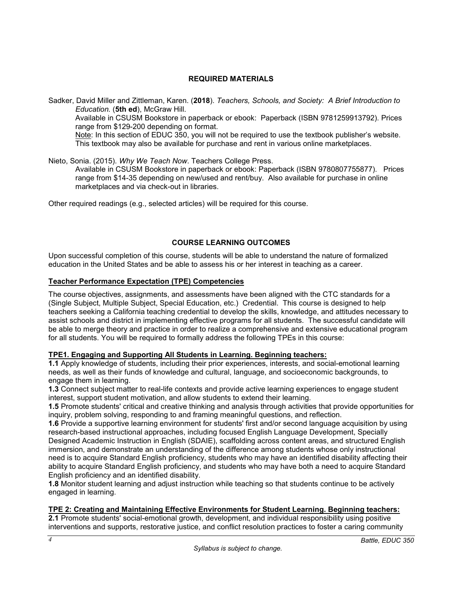## **REQUIRED MATERIALS**

Sadker, David Miller and Zittleman, Karen. (**2018**). *Teachers, Schools, and Society: A Brief Introduction to Education.* (**5th ed**), McGraw Hill. Available in CSUSM Bookstore in paperback or ebook: Paperback (ISBN 9781259913792). Prices range from \$129-200 depending on format. Note: In this section of EDUC 350, you will not be required to use the textbook publisher's website. This textbook may also be available for purchase and rent in various online marketplaces.

Nieto, Sonia. (2015). *Why We Teach Now*. Teachers College Press.

Available in CSUSM Bookstore in paperback or ebook: Paperback (ISBN 9780807755877). Prices range from \$14-35 depending on new/used and rent/buy. Also available for purchase in online marketplaces and via check-out in libraries.

Other required readings (e.g., selected articles) will be required for this course.

### **COURSE LEARNING OUTCOMES**

Upon successful completion of this course, students will be able to understand the nature of formalized education in the United States and be able to assess his or her interest in teaching as a career.

### **Teacher Performance Expectation (TPE) Competencies**

The course objectives, assignments, and assessments have been aligned with the CTC standards for a (Single Subject, Multiple Subject, Special Education, etc.) Credential. This course is designed to help teachers seeking a California teaching credential to develop the skills, knowledge, and attitudes necessary to assist schools and district in implementing effective programs for all students. The successful candidate will be able to merge theory and practice in order to realize a comprehensive and extensive educational program for all students. You will be required to formally address the following TPEs in this course:

#### **TPE1. Engaging and Supporting All Students in Learning. Beginning teachers:**

**1.1** Apply knowledge of students, including their prior experiences, interests, and social-emotional learning needs, as well as their funds of knowledge and cultural, language, and socioeconomic backgrounds, to engage them in learning.

**1.3** Connect subject matter to real-life contexts and provide active learning experiences to engage student interest, support student motivation, and allow students to extend their learning.

**1.5** Promote students' critical and creative thinking and analysis through activities that provide opportunities for inquiry, problem solving, responding to and framing meaningful questions, and reflection.

**1.6** Provide a supportive learning environment for students' first and/or second language acquisition by using research-based instructional approaches, including focused English Language Development, Specially Designed Academic Instruction in English (SDAIE), scaffolding across content areas, and structured English immersion, and demonstrate an understanding of the difference among students whose only instructional need is to acquire Standard English proficiency, students who may have an identified disability affecting their ability to acquire Standard English proficiency, and students who may have both a need to acquire Standard English proficiency and an identified disability.

**1.8** Monitor student learning and adjust instruction while teaching so that students continue to be actively engaged in learning.

#### **TPE 2: Creating and Maintaining Effective Environments for Student Learning. Beginning teachers:**

**2.1** Promote students' social-emotional growth, development, and individual responsibility using positive interventions and supports, restorative justice, and conflict resolution practices to foster a caring community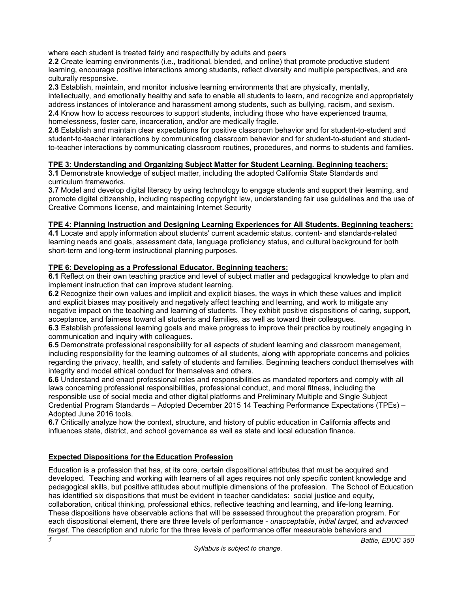where each student is treated fairly and respectfully by adults and peers

**2.2** Create learning environments (i.e., traditional, blended, and online) that promote productive student learning, encourage positive interactions among students, reflect diversity and multiple perspectives, and are culturally responsive.

**2.3** Establish, maintain, and monitor inclusive learning environments that are physically, mentally,

intellectually, and emotionally healthy and safe to enable all students to learn, and recognize and appropriately address instances of intolerance and harassment among students, such as bullying, racism, and sexism. **2.4** Know how to access resources to support students, including those who have experienced trauma, homelessness, foster care, incarceration, and/or are medically fragile.

**2.6** Establish and maintain clear expectations for positive classroom behavior and for student-to-student and student-to-teacher interactions by communicating classroom behavior and for student-to-student and studentto-teacher interactions by communicating classroom routines, procedures, and norms to students and families.

## **TPE 3: Understanding and Organizing Subject Matter for Student Learning. Beginning teachers:**

**3.1** Demonstrate knowledge of subject matter, including the adopted California State Standards and curriculum frameworks.

**3.7** Model and develop digital literacy by using technology to engage students and support their learning, and promote digital citizenship, including respecting copyright law, understanding fair use guidelines and the use of Creative Commons license, and maintaining Internet Security

## **TPE 4: Planning Instruction and Designing Learning Experiences for All Students. Beginning teachers:**

**4.1** Locate and apply information about students' current academic status, content- and standards-related learning needs and goals, assessment data, language proficiency status, and cultural background for both short-term and long-term instructional planning purposes.

## **TPE 6: Developing as a Professional Educator. Beginning teachers:**

**6.1** Reflect on their own teaching practice and level of subject matter and pedagogical knowledge to plan and implement instruction that can improve student learning.

**6.2** Recognize their own values and implicit and explicit biases, the ways in which these values and implicit and explicit biases may positively and negatively affect teaching and learning, and work to mitigate any negative impact on the teaching and learning of students. They exhibit positive dispositions of caring, support, acceptance, and fairness toward all students and families, as well as toward their colleagues.

**6.3** Establish professional learning goals and make progress to improve their practice by routinely engaging in communication and inquiry with colleagues.

**6.5** Demonstrate professional responsibility for all aspects of student learning and classroom management, including responsibility for the learning outcomes of all students, along with appropriate concerns and policies regarding the privacy, health, and safety of students and families. Beginning teachers conduct themselves with integrity and model ethical conduct for themselves and others.

**6.6** Understand and enact professional roles and responsibilities as mandated reporters and comply with all laws concerning professional responsibilities, professional conduct, and moral fitness, including the responsible use of social media and other digital platforms and Preliminary Multiple and Single Subject Credential Program Standards – Adopted December 2015 14 Teaching Performance Expectations (TPEs) – Adopted June 2016 tools.

**6.7** Critically analyze how the context, structure, and history of public education in California affects and influences state, district, and school governance as well as state and local education finance.

## **Expected Dispositions for the Education Profession**

Education is a profession that has, at its core, certain dispositional attributes that must be acquired and developed. Teaching and working with learners of all ages requires not only specific content knowledge and pedagogical skills, but positive attitudes about multiple dimensions of the profession. The School of Education has identified six dispositions that must be evident in teacher candidates: social justice and equity, collaboration, critical thinking, professional ethics, reflective teaching and learning, and life-long learning. These dispositions have observable actions that will be assessed throughout the preparation program. For each dispositional element, there are three levels of performance - *unacceptable*, *initial target*, and *advanced target*. The description and rubric for the three levels of performance offer measurable behaviors and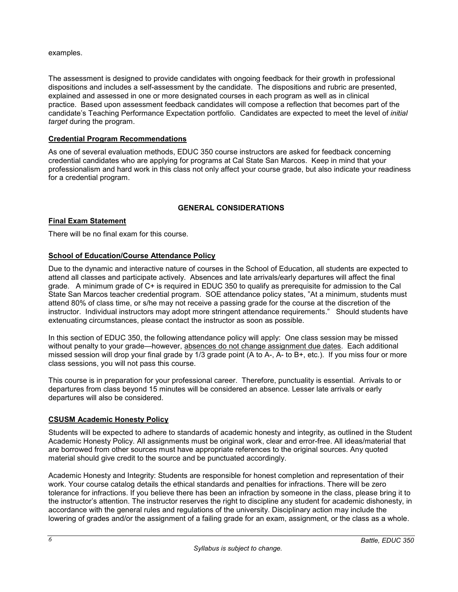#### examples.

The assessment is designed to provide candidates with ongoing feedback for their growth in professional dispositions and includes a self-assessment by the candidate. The dispositions and rubric are presented, explained and assessed in one or more designated courses in each program as well as in clinical practice. Based upon assessment feedback candidates will compose a reflection that becomes part of the candidate's Teaching Performance Expectation portfolio. Candidates are expected to meet the level of *initial target* during the program.

### **Credential Program Recommendations**

As one of several evaluation methods, EDUC 350 course instructors are asked for feedback concerning credential candidates who are applying for programs at Cal State San Marcos. Keep in mind that your professionalism and hard work in this class not only affect your course grade, but also indicate your readiness for a credential program.

## **GENERAL CONSIDERATIONS**

#### **Final Exam Statement**

There will be no final exam for this course.

### **School of Education/Course Attendance Policy**

Due to the dynamic and interactive nature of courses in the School of Education, all students are expected to attend all classes and participate actively. Absences and late arrivals/early departures will affect the final grade. A minimum grade of C+ is required in EDUC 350 to qualify as prerequisite for admission to the Cal State San Marcos teacher credential program. SOE attendance policy states, "At a minimum, students must attend 80% of class time, or s/he may not receive a passing grade for the course at the discretion of the instructor. Individual instructors may adopt more stringent attendance requirements." Should students have extenuating circumstances, please contact the instructor as soon as possible.

In this section of EDUC 350, the following attendance policy will apply: One class session may be missed without penalty to your grade—however, absences do not change assignment due dates. Each additional missed session will drop your final grade by 1/3 grade point (A to A-, A- to B+, etc.). If you miss four or more class sessions, you will not pass this course.

This course is in preparation for your professional career. Therefore, punctuality is essential. Arrivals to or departures from class beyond 15 minutes will be considered an absence. Lesser late arrivals or early departures will also be considered.

#### **CSUSM Academic Honesty Policy**

Students will be expected to adhere to standards of academic honesty and integrity, as outlined in the Student Academic Honesty Policy. All assignments must be original work, clear and error-free. All ideas/material that are borrowed from other sources must have appropriate references to the original sources. Any quoted material should give credit to the source and be punctuated accordingly.

Academic Honesty and Integrity: Students are responsible for honest completion and representation of their work. Your course catalog details the ethical standards and penalties for infractions. There will be zero tolerance for infractions. If you believe there has been an infraction by someone in the class, please bring it to the instructor's attention. The instructor reserves the right to discipline any student for academic dishonesty, in accordance with the general rules and regulations of the university. Disciplinary action may include the lowering of grades and/or the assignment of a failing grade for an exam, assignment, or the class as a whole.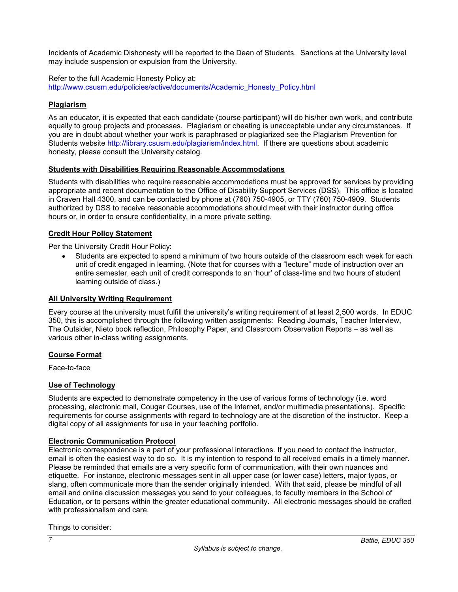Incidents of Academic Dishonesty will be reported to the Dean of Students. Sanctions at the University level may include suspension or expulsion from the University.

Refer to the full Academic Honesty Policy at: [http://www.csusm.edu/policies/active/documents/Academic\\_Honesty\\_Policy.html](http://www.csusm.edu/policies/active/documents/Academic_Honesty_Policy.html)

### **Plagiarism**

As an educator, it is expected that each candidate (course participant) will do his/her own work, and contribute equally to group projects and processes. Plagiarism or cheating is unacceptable under any circumstances. If you are in doubt about whether your work is paraphrased or plagiarized see the Plagiarism Prevention for Students website [http://library.csusm.edu/plagiarism/index.html.](http://library.csusm.edu/plagiarism/index.html) If there are questions about academic honesty, please consult the University catalog.

## **Students with Disabilities Requiring Reasonable Accommodations**

Students with disabilities who require reasonable accommodations must be approved for services by providing appropriate and recent documentation to the Office of Disability Support Services (DSS). This office is located in Craven Hall 4300, and can be contacted by phone at (760) 750-4905, or TTY (760) 750-4909. Students authorized by DSS to receive reasonable accommodations should meet with their instructor during office hours or, in order to ensure confidentiality, in a more private setting.

### **Credit Hour Policy Statement**

Per the University Credit Hour Policy:

• Students are expected to spend a minimum of two hours outside of the classroom each week for each unit of credit engaged in learning. (Note that for courses with a "lecture" mode of instruction over an entire semester, each unit of credit corresponds to an 'hour' of class-time and two hours of student learning outside of class.)

### **All University Writing Requirement**

Every course at the university must fulfill the university's writing requirement of at least 2,500 words. In EDUC 350, this is accomplished through the following written assignments: Reading Journals, Teacher Interview, The Outsider, Nieto book reflection, Philosophy Paper, and Classroom Observation Reports – as well as various other in-class writing assignments.

### **Course Format**

Face-to-face

### **Use of Technology**

Students are expected to demonstrate competency in the use of various forms of technology (i.e. word processing, electronic mail, Cougar Courses, use of the Internet, and/or multimedia presentations). Specific requirements for course assignments with regard to technology are at the discretion of the instructor. Keep a digital copy of all assignments for use in your teaching portfolio.

### **Electronic Communication Protocol**

Electronic correspondence is a part of your professional interactions. If you need to contact the instructor, email is often the easiest way to do so. It is my intention to respond to all received emails in a timely manner. Please be reminded that emails are a very specific form of communication, with their own nuances and etiquette. For instance, electronic messages sent in all upper case (or lower case) letters, major typos, or slang, often communicate more than the sender originally intended. With that said, please be mindful of all email and online discussion messages you send to your colleagues, to faculty members in the School of Education, or to persons within the greater educational community. All electronic messages should be crafted with professionalism and care.

Things to consider: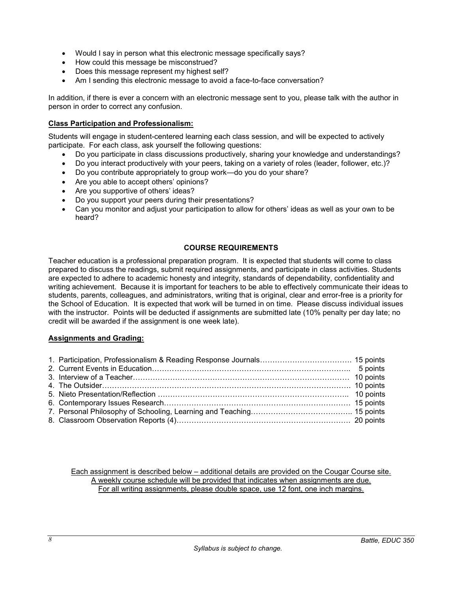- Would I say in person what this electronic message specifically says?
- How could this message be misconstrued?
- Does this message represent my highest self?
- Am I sending this electronic message to avoid a face-to-face conversation?

In addition, if there is ever a concern with an electronic message sent to you, please talk with the author in person in order to correct any confusion.

#### **Class Participation and Professionalism:**

Students will engage in student-centered learning each class session, and will be expected to actively participate. For each class, ask yourself the following questions:

- Do you participate in class discussions productively, sharing your knowledge and understandings?
- Do you interact productively with your peers, taking on a variety of roles (leader, follower, etc.)?
- Do you contribute appropriately to group work—do you do your share?
- Are you able to accept others' opinions?
- Are you supportive of others' ideas?
- Do you support your peers during their presentations?
- Can you monitor and adjust your participation to allow for others' ideas as well as your own to be heard?

#### **COURSE REQUIREMENTS**

Teacher education is a professional preparation program. It is expected that students will come to class prepared to discuss the readings, submit required assignments, and participate in class activities. Students are expected to adhere to academic honesty and integrity, standards of dependability, confidentiality and writing achievement. Because it is important for teachers to be able to effectively communicate their ideas to students, parents, colleagues, and administrators, writing that is original, clear and error-free is a priority for the School of Education. It is expected that work will be turned in on time. Please discuss individual issues with the instructor. Points will be deducted if assignments are submitted late (10% penalty per day late; no credit will be awarded if the assignment is one week late).

#### **Assignments and Grading:**

Each assignment is described below – additional details are provided on the Cougar Course site. A weekly course schedule will be provided that indicates when assignments are due. For all writing assignments, please double space, use 12 font, one inch margins.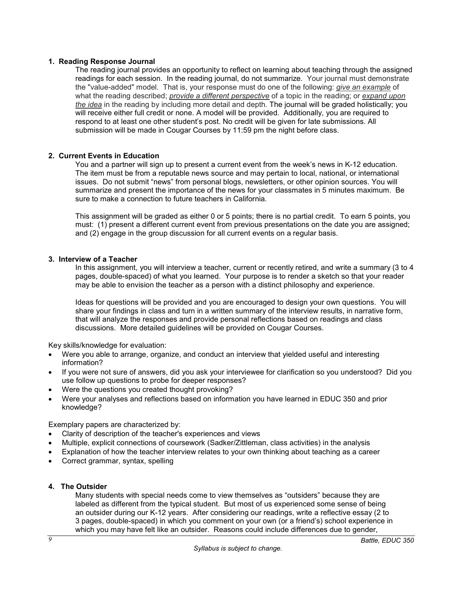#### **1. Reading Response Journal**

The reading journal provides an opportunity to reflect on learning about teaching through the assigned readings for each session. In the reading journal, do not summarize. Your journal must demonstrate the "value-added" model. That is, your response must do one of the following: *give an example* of what the reading described; *provide a different perspective* of a topic in the reading; or *expand upon the idea* in the reading by including more detail and depth. The journal will be graded holistically; you will receive either full credit or none. A model will be provided. Additionally, you are required to respond to at least one other student's post. No credit will be given for late submissions. All submission will be made in Cougar Courses by 11:59 pm the night before class.

#### **2. Current Events in Education**

You and a partner will sign up to present a current event from the week's news in K-12 education. The item must be from a reputable news source and may pertain to local, national, or international issues. Do not submit "news" from personal blogs, newsletters, or other opinion sources. You will summarize and present the importance of the news for your classmates in 5 minutes maximum. Be sure to make a connection to future teachers in California.

This assignment will be graded as either 0 or 5 points; there is no partial credit. To earn 5 points, you must: (1) present a different current event from previous presentations on the date you are assigned; and (2) engage in the group discussion for all current events on a regular basis.

#### **3. Interview of a Teacher**

In this assignment, you will interview a teacher, current or recently retired, and write a summary (3 to 4 pages, double-spaced) of what you learned. Your purpose is to render a sketch so that your reader may be able to envision the teacher as a person with a distinct philosophy and experience.

Ideas for questions will be provided and you are encouraged to design your own questions. You will share your findings in class and turn in a written summary of the interview results, in narrative form, that will analyze the responses and provide personal reflections based on readings and class discussions. More detailed guidelines will be provided on Cougar Courses.

Key skills/knowledge for evaluation:

- Were you able to arrange, organize, and conduct an interview that yielded useful and interesting information?
- If you were not sure of answers, did you ask your interviewee for clarification so you understood? Did you use follow up questions to probe for deeper responses?
- Were the questions you created thought provoking?
- Were your analyses and reflections based on information you have learned in EDUC 350 and prior knowledge?

Exemplary papers are characterized by:

- Clarity of description of the teacher's experiences and views
- Multiple, explicit connections of coursework (Sadker/Zittleman, class activities) in the analysis
- Explanation of how the teacher interview relates to your own thinking about teaching as a career
- Correct grammar, syntax, spelling

### **4. The Outsider**

Many students with special needs come to view themselves as "outsiders" because they are labeled as different from the typical student. But most of us experienced some sense of being an outsider during our K-12 years. After considering our readings, write a reflective essay (2 to 3 pages, double-spaced) in which you comment on your own (or a friend's) school experience in which you may have felt like an outsider. Reasons could include differences due to gender,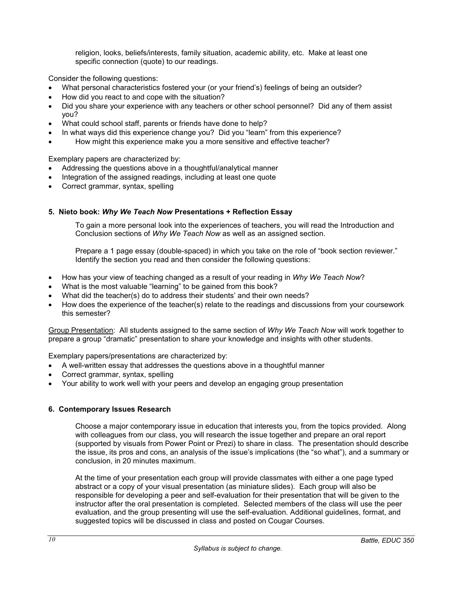religion, looks, beliefs/interests, family situation, academic ability, etc. Make at least one specific connection (quote) to our readings.

Consider the following questions:

- What personal characteristics fostered your (or your friend's) feelings of being an outsider?
- How did you react to and cope with the situation?
- Did you share your experience with any teachers or other school personnel? Did any of them assist you?
- What could school staff, parents or friends have done to help?
- In what ways did this experience change you? Did you "learn" from this experience?
- How might this experience make you a more sensitive and effective teacher?

Exemplary papers are characterized by:

- Addressing the questions above in a thoughtful/analytical manner
- Integration of the assigned readings, including at least one quote
- Correct grammar, syntax, spelling

## **5. Nieto book:** *Why We Teach Now* **Presentations + Reflection Essay**

To gain a more personal look into the experiences of teachers, you will read the Introduction and Conclusion sections of *Why We Teach Now* as well as an assigned section.

Prepare a 1 page essay (double-spaced) in which you take on the role of "book section reviewer." Identify the section you read and then consider the following questions:

- How has your view of teaching changed as a result of your reading in *Why We Teach Now*?
- What is the most valuable "learning" to be gained from this book?
- What did the teacher(s) do to address their students' and their own needs?
- How does the experience of the teacher(s) relate to the readings and discussions from your coursework this semester?

Group Presentation: All students assigned to the same section of *Why We Teach Now* will work together to prepare a group "dramatic" presentation to share your knowledge and insights with other students.

Exemplary papers/presentations are characterized by:

- A well-written essay that addresses the questions above in a thoughtful manner
- Correct grammar, syntax, spelling
- Your ability to work well with your peers and develop an engaging group presentation

### **6. Contemporary Issues Research**

Choose a major contemporary issue in education that interests you, from the topics provided. Along with colleagues from our class, you will research the issue together and prepare an oral report (supported by visuals from Power Point or Prezi) to share in class. The presentation should describe the issue, its pros and cons, an analysis of the issue's implications (the "so what"), and a summary or conclusion, in 20 minutes maximum.

At the time of your presentation each group will provide classmates with either a one page typed abstract or a copy of your visual presentation (as miniature slides). Each group will also be responsible for developing a peer and self-evaluation for their presentation that will be given to the instructor after the oral presentation is completed. Selected members of the class will use the peer evaluation, and the group presenting will use the self-evaluation. Additional guidelines, format, and suggested topics will be discussed in class and posted on Cougar Courses.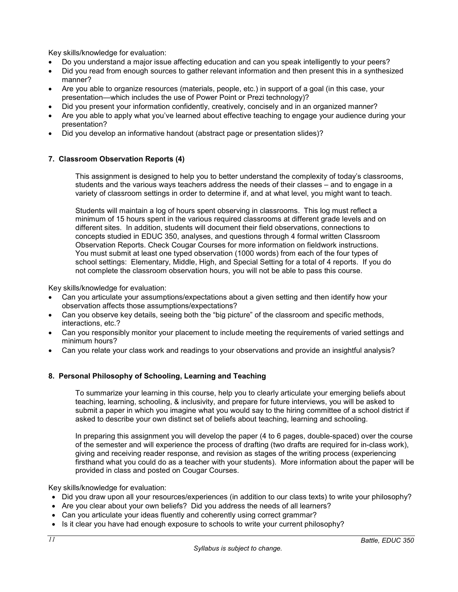Key skills/knowledge for evaluation:

- Do you understand a major issue affecting education and can you speak intelligently to your peers?
- Did you read from enough sources to gather relevant information and then present this in a synthesized manner?
- Are you able to organize resources (materials, people, etc.) in support of a goal (in this case, your presentation—which includes the use of Power Point or Prezi technology)?
- Did you present your information confidently, creatively, concisely and in an organized manner?
- Are you able to apply what you've learned about effective teaching to engage your audience during your presentation?
- Did you develop an informative handout (abstract page or presentation slides)?

## **7. Classroom Observation Reports (4)**

This assignment is designed to help you to better understand the complexity of today's classrooms, students and the various ways teachers address the needs of their classes – and to engage in a variety of classroom settings in order to determine if, and at what level, you might want to teach.

Students will maintain a log of hours spent observing in classrooms. This log must reflect a minimum of 15 hours spent in the various required classrooms at different grade levels and on different sites. In addition, students will document their field observations, connections to concepts studied in EDUC 350, analyses, and questions through 4 formal written Classroom Observation Reports. Check Cougar Courses for more information on fieldwork instructions. You must submit at least one typed observation (1000 words) from each of the four types of school settings: Elementary, Middle, High, and Special Setting for a total of 4 reports. If you do not complete the classroom observation hours, you will not be able to pass this course.

Key skills/knowledge for evaluation:

- Can you articulate your assumptions/expectations about a given setting and then identify how your observation affects those assumptions/expectations?
- Can you observe key details, seeing both the "big picture" of the classroom and specific methods, interactions, etc.?
- Can you responsibly monitor your placement to include meeting the requirements of varied settings and minimum hours?
- Can you relate your class work and readings to your observations and provide an insightful analysis?

### **8. Personal Philosophy of Schooling, Learning and Teaching**

To summarize your learning in this course, help you to clearly articulate your emerging beliefs about teaching, learning, schooling, & inclusivity, and prepare for future interviews, you will be asked to submit a paper in which you imagine what you would say to the hiring committee of a school district if asked to describe your own distinct set of beliefs about teaching, learning and schooling.

In preparing this assignment you will develop the paper (4 to 6 pages, double-spaced) over the course of the semester and will experience the process of drafting (two drafts are required for in-class work), giving and receiving reader response, and revision as stages of the writing process (experiencing firsthand what you could do as a teacher with your students). More information about the paper will be provided in class and posted on Cougar Courses.

Key skills/knowledge for evaluation:

- Did you draw upon all your resources/experiences (in addition to our class texts) to write your philosophy?
- Are you clear about your own beliefs? Did you address the needs of all learners?
- Can you articulate your ideas fluently and coherently using correct grammar?
- Is it clear you have had enough exposure to schools to write your current philosophy?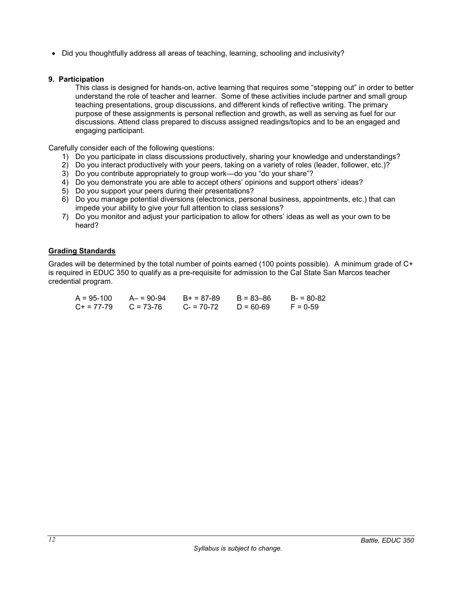• Did you thoughtfully address all areas of teaching, learning, schooling and inclusivity?

#### **9. Participation**

This class is designed for hands-on, active learning that requires some "stepping out" in order to better understand the role of teacher and learner. Some of these activities include partner and small group teaching presentations, group discussions, and different kinds of reflective writing. The primary purpose of these assignments is personal reflection and growth, as well as serving as fuel for our discussions. Attend class prepared to discuss assigned readings/topics and to be an engaged and engaging participant.

Carefully consider each of the following questions:

- 1) Do you participate in class discussions productively, sharing your knowledge and understandings?
- 2) Do you interact productively with your peers, taking on a variety of roles (leader, follower, etc.)?
- 3) Do you contribute appropriately to group work—do you "do your share"?
- 4) Do you demonstrate you are able to accept others' opinions and support others' ideas?
- 5) Do you support your peers during their presentations?
- 6) Do you manage potential diversions (electronics, personal business, appointments, etc.) that can impede your ability to give your full attention to class sessions?
- 7) Do you monitor and adjust your participation to allow for others' ideas as well as your own to be heard?

#### **Grading Standards**

Grades will be determined by the total number of points earned (100 points possible). A minimum grade of C+ is required in EDUC 350 to qualify as a pre-requisite for admission to the Cal State San Marcos teacher credential program.

| A = 95-100 | $A - 90 - 94$ | $B+ = 87-89$ | $B = 83 - 86$ | $B = 80-82$ |
|------------|---------------|--------------|---------------|-------------|
| C+ = 77-79 | $C = 73-76$   | $C = 70-72$  | $D = 60 - 69$ | $F = 0.59$  |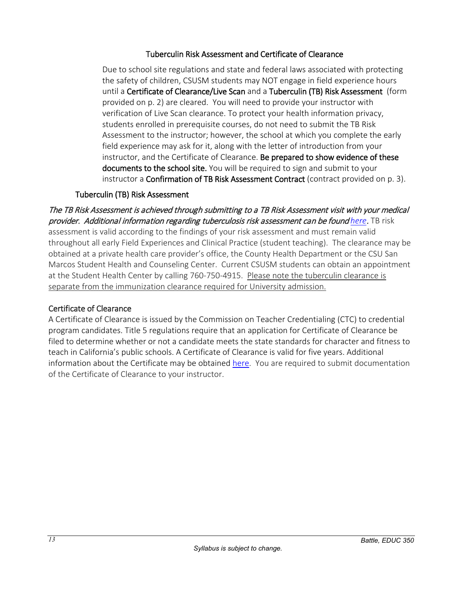# Tuberculin Risk Assessment and Certificate of Clearance

Due to school site regulations and state and federal laws associated with protecting the safety of children, CSUSM students may NOT engage in field experience hours until a Certificate of Clearance/Live Scan and a Tuberculin (TB) Risk Assessment (form provided on p. 2) are cleared. You will need to provide your instructor with verification of Live Scan clearance. To protect your health information privacy, students enrolled in prerequisite courses, do not need to submit the TB Risk Assessment to the instructor; however, the school at which you complete the early field experience may ask for it, along with the letter of introduction from your instructor, and the Certificate of Clearance. Be prepared to show evidence of these documents to the school site. You will be required to sign and submit to your instructor a **Confirmation of TB Risk Assessment Contract** (contract provided on p. 3).

# Tuberculin (TB) Risk Assessment

The TB Risk Assessment is achieved through submitting to a TB Risk Assessment visit with your medical provider. Additional information regarding tuberculosis risk assessment can be found *[here](https://ctca2015.iescentral.com/filelibrary/TBCB-CA-School-Staff-Volunteer-TB-Risk-Assessment.pdf)*. TB risk assessment is valid according to the findings of your risk assessment and must remain valid throughout all early Field Experiences and Clinical Practice (student teaching). The clearance may be obtained at a private health care provider's office, the County Health Department or the CSU San Marcos Student Health and Counseling Center. Current CSUSM students can obtain an appointment at the Student Health Center by calling 760-750-4915. Please note the tuberculin clearance is separate from the immunization clearance required for University admission.

# Certificate of Clearance

A Certificate of Clearance is issued by the Commission on Teacher Credentialing (CTC) to credential program candidates. Title 5 regulations require that an application for Certificate of Clearance be filed to determine whether or not a candidate meets the state standards for character and fitness to teach in California's public schools. A Certificate of Clearance is valid for five years. Additional information about the Certificate may be obtained [here.](https://www.csusm.edu/soe/documents/currentstudents/formsandresources/credential/certificate_of_clearance.pdf) You are required to submit documentation of the Certificate of Clearance to your instructor.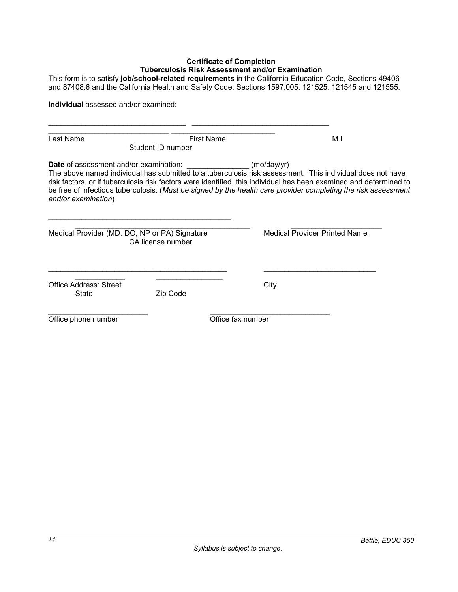## **Certificate of Completion Tuberculosis Risk Assessment and/or Examination**

This form is to satisfy **job/school-related requirements** in the California Education Code, Sections 49406 and 87408.6 and the California Health and Safety Code, Sections 1597.005, 121525, 121545 and 121555.

|                                 | <b>Individual</b> assessed and/or examined:                        |                                                                                                                                                                                                                                                                                                                                                               |  |
|---------------------------------|--------------------------------------------------------------------|---------------------------------------------------------------------------------------------------------------------------------------------------------------------------------------------------------------------------------------------------------------------------------------------------------------------------------------------------------------|--|
|                                 |                                                                    |                                                                                                                                                                                                                                                                                                                                                               |  |
| Last Name                       | <b>First Name</b><br>Student ID number                             | M.I.                                                                                                                                                                                                                                                                                                                                                          |  |
| and/or examination)             | <b>Date</b> of assessment and/or examination:                      | (mod v )<br>The above named individual has submitted to a tuberculosis risk assessment. This individual does not have<br>risk factors, or if tuberculosis risk factors were identified, this individual has been examined and determined to<br>be free of infectious tuberculosis. (Must be signed by the health care provider completing the risk assessment |  |
|                                 | Medical Provider (MD, DO, NP or PA) Signature<br>CA license number | <b>Medical Provider Printed Name</b>                                                                                                                                                                                                                                                                                                                          |  |
| Office Address: Street<br>State | Zip Code                                                           | City                                                                                                                                                                                                                                                                                                                                                          |  |
|                                 |                                                                    | Office fax number                                                                                                                                                                                                                                                                                                                                             |  |